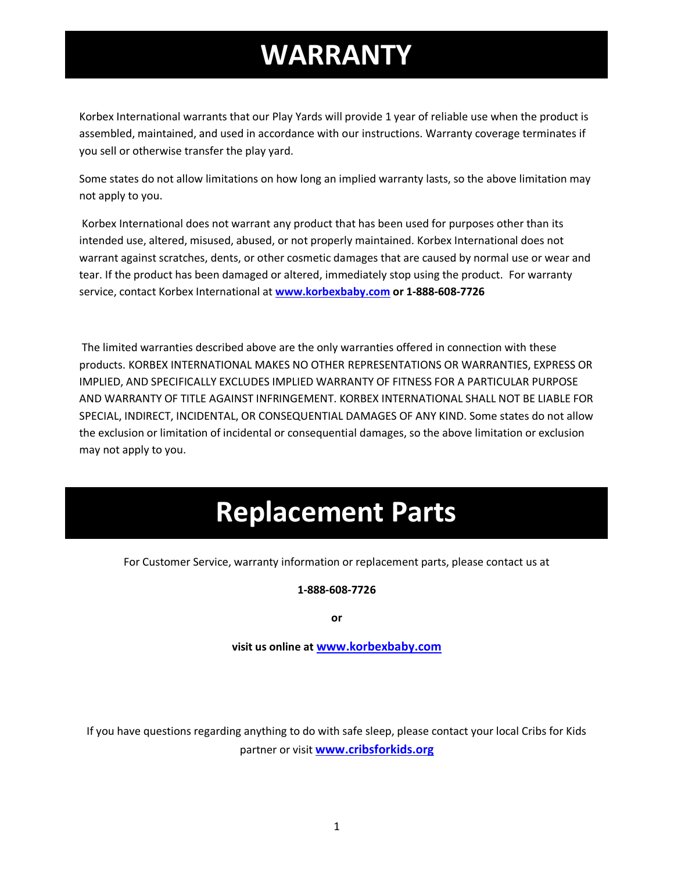## **WARRANTY**

Korbex International warrants that our Play Yards will provide 1 year of reliable use when the product is assembled, maintained, and used in accordance with our instructions. Warranty coverage terminates if you sell or otherwise transfer the play yard.

Some states do not allow limitations on how long an implied warranty lasts, so the above limitation may not apply to you.

Korbex International does not warrant any product that has been used for purposes other than its intended use, altered, misused, abused, or not properly maintained. Korbex International does not warrant against scratches, dents, or other cosmetic damages that are caused by normal use or wear and tear. If the product has been damaged or altered, immediately stop using the product. For warranty service, contact Korbex International at **[www.korbexbaby.com](http://www.korbexbaby.com/) or 1-888-608-7726**

The limited warranties described above are the only warranties offered in connection with these products. KORBEX INTERNATIONAL MAKES NO OTHER REPRESENTATIONS OR WARRANTIES, EXPRESS OR IMPLIED, AND SPECIFICALLY EXCLUDES IMPLIED WARRANTY OF FITNESS FOR A PARTICULAR PURPOSE AND WARRANTY OF TITLE AGAINST INFRINGEMENT. KORBEX INTERNATIONAL SHALL NOT BE LIABLE FOR SPECIAL, INDIRECT, INCIDENTAL, OR CONSEQUENTIAL DAMAGES OF ANY KIND. Some states do not allow the exclusion or limitation of incidental or consequential damages, so the above limitation or exclusion may not apply to you.

### **Replacement Parts**

For Customer Service, warranty information or replacement parts, please contact us at

**1-888-608-7726**

**or** 

**visit us online at [www.korbexbaby.com](http://www.korbexbaby.com/)**

If you have questions regarding anything to do with safe sleep, please contact your local Cribs for Kids partner or visit **[www.cribsforkids.org](http://www.cribsforkids.org/)**